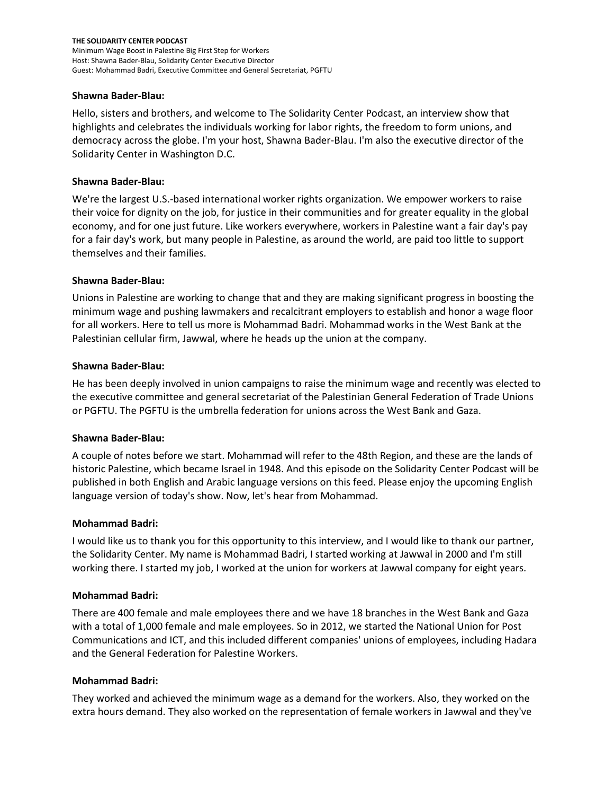### **Shawna Bader-Blau:**

Hello, sisters and brothers, and welcome to The Solidarity Center Podcast, an interview show that highlights and celebrates the individuals working for labor rights, the freedom to form unions, and democracy across the globe. I'm your host, Shawna Bader-Blau. I'm also the executive director of the Solidarity Center in Washington D.C.

## **Shawna Bader-Blau:**

We're the largest U.S.-based international worker rights organization. We empower workers to raise their voice for dignity on the job, for justice in their communities and for greater equality in the global economy, and for one just future. Like workers everywhere, workers in Palestine want a fair day's pay for a fair day's work, but many people in Palestine, as around the world, are paid too little to support themselves and their families.

## **Shawna Bader-Blau:**

Unions in Palestine are working to change that and they are making significant progress in boosting the minimum wage and pushing lawmakers and recalcitrant employers to establish and honor a wage floor for all workers. Here to tell us more is Mohammad Badri. Mohammad works in the West Bank at the Palestinian cellular firm, Jawwal, where he heads up the union at the company.

## **Shawna Bader-Blau:**

He has been deeply involved in union campaigns to raise the minimum wage and recently was elected to the executive committee and general secretariat of the Palestinian General Federation of Trade Unions or PGFTU. The PGFTU is the umbrella federation for unions across the West Bank and Gaza.

### **Shawna Bader-Blau:**

A couple of notes before we start. Mohammad will refer to the 48th Region, and these are the lands of historic Palestine, which became Israel in 1948. And this episode on the Solidarity Center Podcast will be published in both English and Arabic language versions on this feed. Please enjoy the upcoming English language version of today's show. Now, let's hear from Mohammad.

### **Mohammad Badri:**

I would like us to thank you for this opportunity to this interview, and I would like to thank our partner, the Solidarity Center. My name is Mohammad Badri, I started working at Jawwal in 2000 and I'm still working there. I started my job, I worked at the union for workers at Jawwal company for eight years.

### **Mohammad Badri:**

There are 400 female and male employees there and we have 18 branches in the West Bank and Gaza with a total of 1,000 female and male employees. So in 2012, we started the National Union for Post Communications and ICT, and this included different companies' unions of employees, including Hadara and the General Federation for Palestine Workers.

### **Mohammad Badri:**

They worked and achieved the minimum wage as a demand for the workers. Also, they worked on the extra hours demand. They also worked on the representation of female workers in Jawwal and they've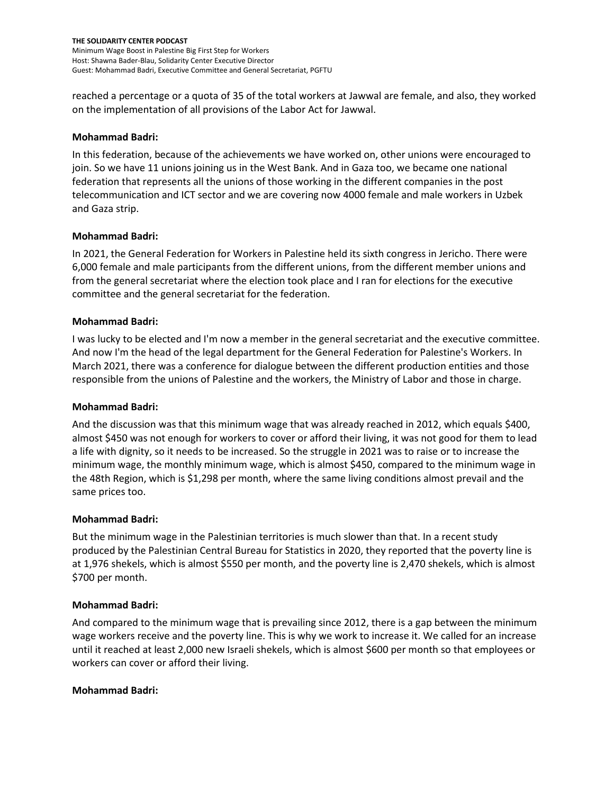reached a percentage or a quota of 35 of the total workers at Jawwal are female, and also, they worked on the implementation of all provisions of the Labor Act for Jawwal.

# **Mohammad Badri:**

In this federation, because of the achievements we have worked on, other unions were encouraged to join. So we have 11 unions joining us in the West Bank. And in Gaza too, we became one national federation that represents all the unions of those working in the different companies in the post telecommunication and ICT sector and we are covering now 4000 female and male workers in Uzbek and Gaza strip.

## **Mohammad Badri:**

In 2021, the General Federation for Workers in Palestine held its sixth congress in Jericho. There were 6,000 female and male participants from the different unions, from the different member unions and from the general secretariat where the election took place and I ran for elections for the executive committee and the general secretariat for the federation.

## **Mohammad Badri:**

I was lucky to be elected and I'm now a member in the general secretariat and the executive committee. And now I'm the head of the legal department for the General Federation for Palestine's Workers. In March 2021, there was a conference for dialogue between the different production entities and those responsible from the unions of Palestine and the workers, the Ministry of Labor and those in charge.

### **Mohammad Badri:**

And the discussion was that this minimum wage that was already reached in 2012, which equals \$400, almost \$450 was not enough for workers to cover or afford their living, it was not good for them to lead a life with dignity, so it needs to be increased. So the struggle in 2021 was to raise or to increase the minimum wage, the monthly minimum wage, which is almost \$450, compared to the minimum wage in the 48th Region, which is \$1,298 per month, where the same living conditions almost prevail and the same prices too.

### **Mohammad Badri:**

But the minimum wage in the Palestinian territories is much slower than that. In a recent study produced by the Palestinian Central Bureau for Statistics in 2020, they reported that the poverty line is at 1,976 shekels, which is almost \$550 per month, and the poverty line is 2,470 shekels, which is almost \$700 per month.

### **Mohammad Badri:**

And compared to the minimum wage that is prevailing since 2012, there is a gap between the minimum wage workers receive and the poverty line. This is why we work to increase it. We called for an increase until it reached at least 2,000 new Israeli shekels, which is almost \$600 per month so that employees or workers can cover or afford their living.

# **Mohammad Badri:**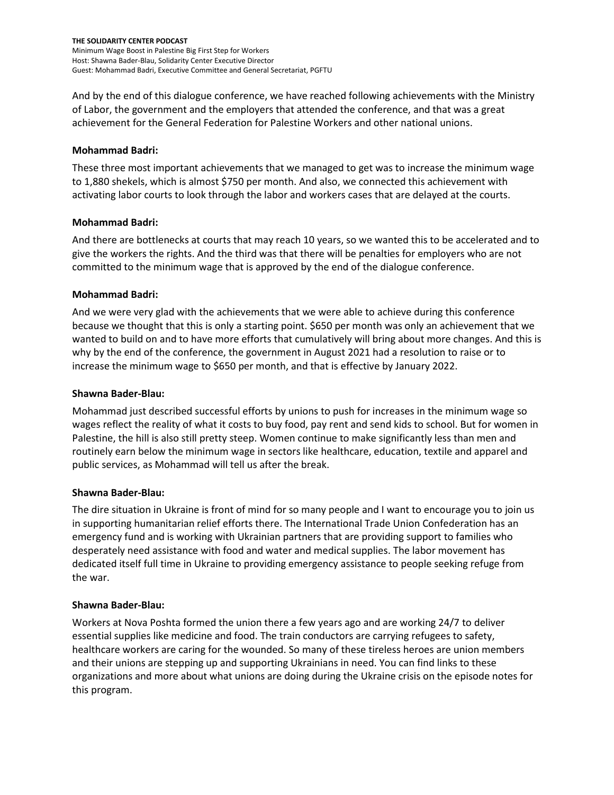And by the end of this dialogue conference, we have reached following achievements with the Ministry of Labor, the government and the employers that attended the conference, and that was a great achievement for the General Federation for Palestine Workers and other national unions.

## **Mohammad Badri:**

These three most important achievements that we managed to get was to increase the minimum wage to 1,880 shekels, which is almost \$750 per month. And also, we connected this achievement with activating labor courts to look through the labor and workers cases that are delayed at the courts.

## **Mohammad Badri:**

And there are bottlenecks at courts that may reach 10 years, so we wanted this to be accelerated and to give the workers the rights. And the third was that there will be penalties for employers who are not committed to the minimum wage that is approved by the end of the dialogue conference.

# **Mohammad Badri:**

And we were very glad with the achievements that we were able to achieve during this conference because we thought that this is only a starting point. \$650 per month was only an achievement that we wanted to build on and to have more efforts that cumulatively will bring about more changes. And this is why by the end of the conference, the government in August 2021 had a resolution to raise or to increase the minimum wage to \$650 per month, and that is effective by January 2022.

## **Shawna Bader-Blau:**

Mohammad just described successful efforts by unions to push for increases in the minimum wage so wages reflect the reality of what it costs to buy food, pay rent and send kids to school. But for women in Palestine, the hill is also still pretty steep. Women continue to make significantly less than men and routinely earn below the minimum wage in sectors like healthcare, education, textile and apparel and public services, as Mohammad will tell us after the break.

# **Shawna Bader-Blau:**

The dire situation in Ukraine is front of mind for so many people and I want to encourage you to join us in supporting humanitarian relief efforts there. The International Trade Union Confederation has an emergency fund and is working with Ukrainian partners that are providing support to families who desperately need assistance with food and water and medical supplies. The labor movement has dedicated itself full time in Ukraine to providing emergency assistance to people seeking refuge from the war.

### **Shawna Bader-Blau:**

Workers at Nova Poshta formed the union there a few years ago and are working 24/7 to deliver essential supplies like medicine and food. The train conductors are carrying refugees to safety, healthcare workers are caring for the wounded. So many of these tireless heroes are union members and their unions are stepping up and supporting Ukrainians in need. You can find links to these organizations and more about what unions are doing during the Ukraine crisis on the episode notes for this program.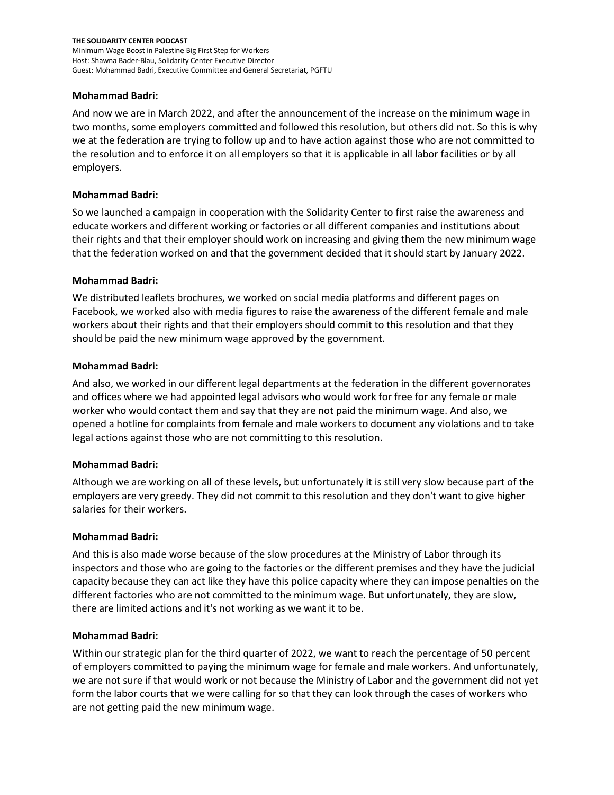## **Mohammad Badri:**

And now we are in March 2022, and after the announcement of the increase on the minimum wage in two months, some employers committed and followed this resolution, but others did not. So this is why we at the federation are trying to follow up and to have action against those who are not committed to the resolution and to enforce it on all employers so that it is applicable in all labor facilities or by all employers.

## **Mohammad Badri:**

So we launched a campaign in cooperation with the Solidarity Center to first raise the awareness and educate workers and different working or factories or all different companies and institutions about their rights and that their employer should work on increasing and giving them the new minimum wage that the federation worked on and that the government decided that it should start by January 2022.

## **Mohammad Badri:**

We distributed leaflets brochures, we worked on social media platforms and different pages on Facebook, we worked also with media figures to raise the awareness of the different female and male workers about their rights and that their employers should commit to this resolution and that they should be paid the new minimum wage approved by the government.

## **Mohammad Badri:**

And also, we worked in our different legal departments at the federation in the different governorates and offices where we had appointed legal advisors who would work for free for any female or male worker who would contact them and say that they are not paid the minimum wage. And also, we opened a hotline for complaints from female and male workers to document any violations and to take legal actions against those who are not committing to this resolution.

### **Mohammad Badri:**

Although we are working on all of these levels, but unfortunately it is still very slow because part of the employers are very greedy. They did not commit to this resolution and they don't want to give higher salaries for their workers.

### **Mohammad Badri:**

And this is also made worse because of the slow procedures at the Ministry of Labor through its inspectors and those who are going to the factories or the different premises and they have the judicial capacity because they can act like they have this police capacity where they can impose penalties on the different factories who are not committed to the minimum wage. But unfortunately, they are slow, there are limited actions and it's not working as we want it to be.

### **Mohammad Badri:**

Within our strategic plan for the third quarter of 2022, we want to reach the percentage of 50 percent of employers committed to paying the minimum wage for female and male workers. And unfortunately, we are not sure if that would work or not because the Ministry of Labor and the government did not yet form the labor courts that we were calling for so that they can look through the cases of workers who are not getting paid the new minimum wage.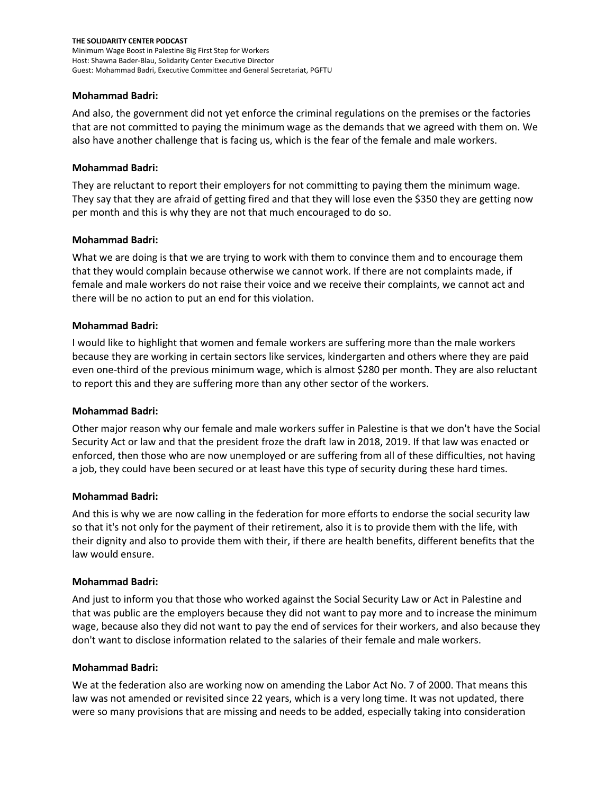## **Mohammad Badri:**

And also, the government did not yet enforce the criminal regulations on the premises or the factories that are not committed to paying the minimum wage as the demands that we agreed with them on. We also have another challenge that is facing us, which is the fear of the female and male workers.

## **Mohammad Badri:**

They are reluctant to report their employers for not committing to paying them the minimum wage. They say that they are afraid of getting fired and that they will lose even the \$350 they are getting now per month and this is why they are not that much encouraged to do so.

## **Mohammad Badri:**

What we are doing is that we are trying to work with them to convince them and to encourage them that they would complain because otherwise we cannot work. If there are not complaints made, if female and male workers do not raise their voice and we receive their complaints, we cannot act and there will be no action to put an end for this violation.

## **Mohammad Badri:**

I would like to highlight that women and female workers are suffering more than the male workers because they are working in certain sectors like services, kindergarten and others where they are paid even one-third of the previous minimum wage, which is almost \$280 per month. They are also reluctant to report this and they are suffering more than any other sector of the workers.

# **Mohammad Badri:**

Other major reason why our female and male workers suffer in Palestine is that we don't have the Social Security Act or law and that the president froze the draft law in 2018, 2019. If that law was enacted or enforced, then those who are now unemployed or are suffering from all of these difficulties, not having a job, they could have been secured or at least have this type of security during these hard times.

### **Mohammad Badri:**

And this is why we are now calling in the federation for more efforts to endorse the social security law so that it's not only for the payment of their retirement, also it is to provide them with the life, with their dignity and also to provide them with their, if there are health benefits, different benefits that the law would ensure.

### **Mohammad Badri:**

And just to inform you that those who worked against the Social Security Law or Act in Palestine and that was public are the employers because they did not want to pay more and to increase the minimum wage, because also they did not want to pay the end of services for their workers, and also because they don't want to disclose information related to the salaries of their female and male workers.

### **Mohammad Badri:**

We at the federation also are working now on amending the Labor Act No. 7 of 2000. That means this law was not amended or revisited since 22 years, which is a very long time. It was not updated, there were so many provisions that are missing and needs to be added, especially taking into consideration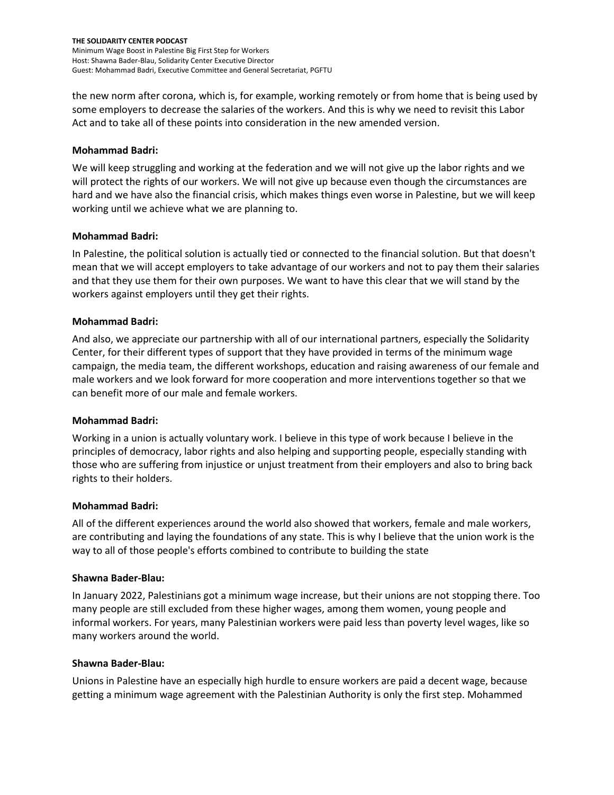the new norm after corona, which is, for example, working remotely or from home that is being used by some employers to decrease the salaries of the workers. And this is why we need to revisit this Labor Act and to take all of these points into consideration in the new amended version.

## **Mohammad Badri:**

We will keep struggling and working at the federation and we will not give up the labor rights and we will protect the rights of our workers. We will not give up because even though the circumstances are hard and we have also the financial crisis, which makes things even worse in Palestine, but we will keep working until we achieve what we are planning to.

## **Mohammad Badri:**

In Palestine, the political solution is actually tied or connected to the financial solution. But that doesn't mean that we will accept employers to take advantage of our workers and not to pay them their salaries and that they use them for their own purposes. We want to have this clear that we will stand by the workers against employers until they get their rights.

## **Mohammad Badri:**

And also, we appreciate our partnership with all of our international partners, especially the Solidarity Center, for their different types of support that they have provided in terms of the minimum wage campaign, the media team, the different workshops, education and raising awareness of our female and male workers and we look forward for more cooperation and more interventions together so that we can benefit more of our male and female workers.

# **Mohammad Badri:**

Working in a union is actually voluntary work. I believe in this type of work because I believe in the principles of democracy, labor rights and also helping and supporting people, especially standing with those who are suffering from injustice or unjust treatment from their employers and also to bring back rights to their holders.

# **Mohammad Badri:**

All of the different experiences around the world also showed that workers, female and male workers, are contributing and laying the foundations of any state. This is why I believe that the union work is the way to all of those people's efforts combined to contribute to building the state

### **Shawna Bader-Blau:**

In January 2022, Palestinians got a minimum wage increase, but their unions are not stopping there. Too many people are still excluded from these higher wages, among them women, young people and informal workers. For years, many Palestinian workers were paid less than poverty level wages, like so many workers around the world.

### **Shawna Bader-Blau:**

Unions in Palestine have an especially high hurdle to ensure workers are paid a decent wage, because getting a minimum wage agreement with the Palestinian Authority is only the first step. Mohammed